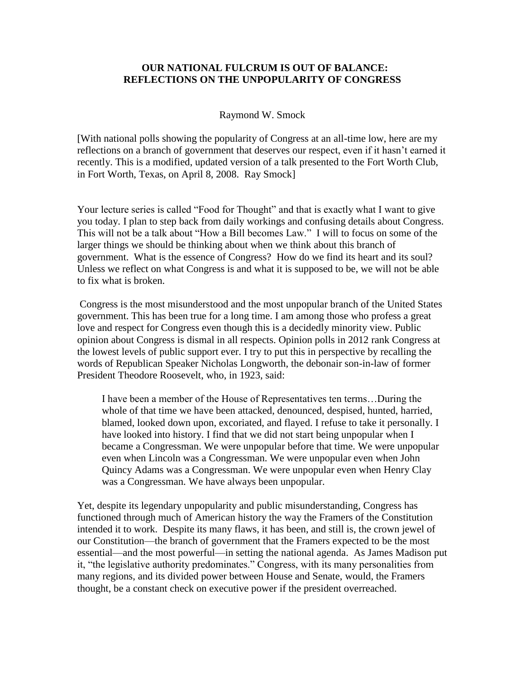## **OUR NATIONAL FULCRUM IS OUT OF BALANCE: REFLECTIONS ON THE UNPOPULARITY OF CONGRESS**

## Raymond W. Smock

[With national polls showing the popularity of Congress at an all-time low, here are my reflections on a branch of government that deserves our respect, even if it hasn't earned it recently. This is a modified, updated version of a talk presented to the Fort Worth Club, in Fort Worth, Texas, on April 8, 2008. Ray Smock]

Your lecture series is called "Food for Thought" and that is exactly what I want to give you today. I plan to step back from daily workings and confusing details about Congress. This will not be a talk about "How a Bill becomes Law." I will to focus on some of the larger things we should be thinking about when we think about this branch of government. What is the essence of Congress? How do we find its heart and its soul? Unless we reflect on what Congress is and what it is supposed to be, we will not be able to fix what is broken.

Congress is the most misunderstood and the most unpopular branch of the United States government. This has been true for a long time. I am among those who profess a great love and respect for Congress even though this is a decidedly minority view. Public opinion about Congress is dismal in all respects. Opinion polls in 2012 rank Congress at the lowest levels of public support ever. I try to put this in perspective by recalling the words of Republican Speaker Nicholas Longworth, the debonair son-in-law of former President Theodore Roosevelt, who, in 1923, said:

I have been a member of the House of Representatives ten terms…During the whole of that time we have been attacked, denounced, despised, hunted, harried, blamed, looked down upon, excoriated, and flayed. I refuse to take it personally. I have looked into history. I find that we did not start being unpopular when I became a Congressman. We were unpopular before that time. We were unpopular even when Lincoln was a Congressman. We were unpopular even when John Quincy Adams was a Congressman. We were unpopular even when Henry Clay was a Congressman. We have always been unpopular.

Yet, despite its legendary unpopularity and public misunderstanding, Congress has functioned through much of American history the way the Framers of the Constitution intended it to work. Despite its many flaws, it has been, and still is, the crown jewel of our Constitution—the branch of government that the Framers expected to be the most essential—and the most powerful—in setting the national agenda. As James Madison put it, "the legislative authority predominates." Congress, with its many personalities from many regions, and its divided power between House and Senate, would, the Framers thought, be a constant check on executive power if the president overreached.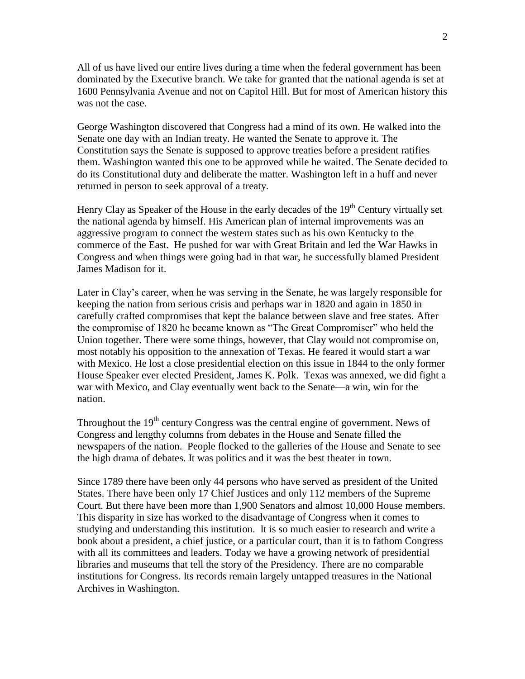All of us have lived our entire lives during a time when the federal government has been dominated by the Executive branch. We take for granted that the national agenda is set at 1600 Pennsylvania Avenue and not on Capitol Hill. But for most of American history this was not the case.

George Washington discovered that Congress had a mind of its own. He walked into the Senate one day with an Indian treaty. He wanted the Senate to approve it. The Constitution says the Senate is supposed to approve treaties before a president ratifies them. Washington wanted this one to be approved while he waited. The Senate decided to do its Constitutional duty and deliberate the matter. Washington left in a huff and never returned in person to seek approval of a treaty.

Henry Clay as Speaker of the House in the early decades of the  $19<sup>th</sup>$  Century virtually set the national agenda by himself. His American plan of internal improvements was an aggressive program to connect the western states such as his own Kentucky to the commerce of the East. He pushed for war with Great Britain and led the War Hawks in Congress and when things were going bad in that war, he successfully blamed President James Madison for it.

Later in Clay's career, when he was serving in the Senate, he was largely responsible for keeping the nation from serious crisis and perhaps war in 1820 and again in 1850 in carefully crafted compromises that kept the balance between slave and free states. After the compromise of 1820 he became known as "The Great Compromiser" who held the Union together. There were some things, however, that Clay would not compromise on, most notably his opposition to the annexation of Texas. He feared it would start a war with Mexico. He lost a close presidential election on this issue in 1844 to the only former House Speaker ever elected President, James K. Polk. Texas was annexed, we did fight a war with Mexico, and Clay eventually went back to the Senate—a win, win for the nation.

Throughout the  $19<sup>th</sup>$  century Congress was the central engine of government. News of Congress and lengthy columns from debates in the House and Senate filled the newspapers of the nation. People flocked to the galleries of the House and Senate to see the high drama of debates. It was politics and it was the best theater in town.

Since 1789 there have been only 44 persons who have served as president of the United States. There have been only 17 Chief Justices and only 112 members of the Supreme Court. But there have been more than 1,900 Senators and almost 10,000 House members. This disparity in size has worked to the disadvantage of Congress when it comes to studying and understanding this institution. It is so much easier to research and write a book about a president, a chief justice, or a particular court, than it is to fathom Congress with all its committees and leaders. Today we have a growing network of presidential libraries and museums that tell the story of the Presidency. There are no comparable institutions for Congress. Its records remain largely untapped treasures in the National Archives in Washington.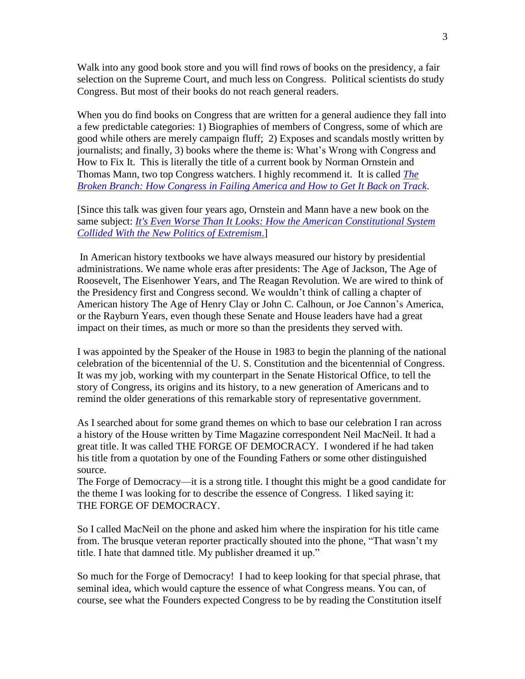Walk into any good book store and you will find rows of books on the presidency, a fair selection on the Supreme Court, and much less on Congress. Political scientists do study Congress. But most of their books do not reach general readers.

When you do find books on Congress that are written for a general audience they fall into a few predictable categories: 1) Biographies of members of Congress, some of which are good while others are merely campaign fluff; 2) Exposes and scandals mostly written by journalists; and finally, 3) books where the theme is: What's Wrong with Congress and How to Fix It. This is literally the title of a current book by Norman Ornstein and Thomas Mann, two top Congress watchers. I highly recommend it. It is called *[The](http://www.amazon.com/The-Broken-Branch-Institutions-Democracy/dp/0195368711/ref=sr_1_1?ie=UTF8&qid=1339447154&sr=8-1&keywords=the+broken+branch)  [Broken Branch: How Congress in Failing America and How to Get It Back on Track](http://www.amazon.com/The-Broken-Branch-Institutions-Democracy/dp/0195368711/ref=sr_1_1?ie=UTF8&qid=1339447154&sr=8-1&keywords=the+broken+branch)*.

[Since this talk was given four years ago, Ornstein and Mann have a new book on the same subject: *It's Even Worse Than It Looks: [How the American Constitutional System](http://www.amazon.com/Even-Worse-Than-Looks-Constitutional/dp/0465031331/ref=pd_bxgy_b_img_b)  [Collided With the New Politics of Extremism](http://www.amazon.com/Even-Worse-Than-Looks-Constitutional/dp/0465031331/ref=pd_bxgy_b_img_b)*.]

In American history textbooks we have always measured our history by presidential administrations. We name whole eras after presidents: The Age of Jackson, The Age of Roosevelt, The Eisenhower Years, and The Reagan Revolution. We are wired to think of the Presidency first and Congress second. We wouldn't think of calling a chapter of American history The Age of Henry Clay or John C. Calhoun, or Joe Cannon's America, or the Rayburn Years, even though these Senate and House leaders have had a great impact on their times, as much or more so than the presidents they served with.

I was appointed by the Speaker of the House in 1983 to begin the planning of the national celebration of the bicentennial of the U. S. Constitution and the bicentennial of Congress. It was my job, working with my counterpart in the Senate Historical Office, to tell the story of Congress, its origins and its history, to a new generation of Americans and to remind the older generations of this remarkable story of representative government.

As I searched about for some grand themes on which to base our celebration I ran across a history of the House written by Time Magazine correspondent Neil MacNeil. It had a great title. It was called THE FORGE OF DEMOCRACY. I wondered if he had taken his title from a quotation by one of the Founding Fathers or some other distinguished source.

The Forge of Democracy—it is a strong title. I thought this might be a good candidate for the theme I was looking for to describe the essence of Congress. I liked saying it: THE FORGE OF DEMOCRACY.

So I called MacNeil on the phone and asked him where the inspiration for his title came from. The brusque veteran reporter practically shouted into the phone, "That wasn't my title. I hate that damned title. My publisher dreamed it up."

So much for the Forge of Democracy! I had to keep looking for that special phrase, that seminal idea, which would capture the essence of what Congress means. You can, of course, see what the Founders expected Congress to be by reading the Constitution itself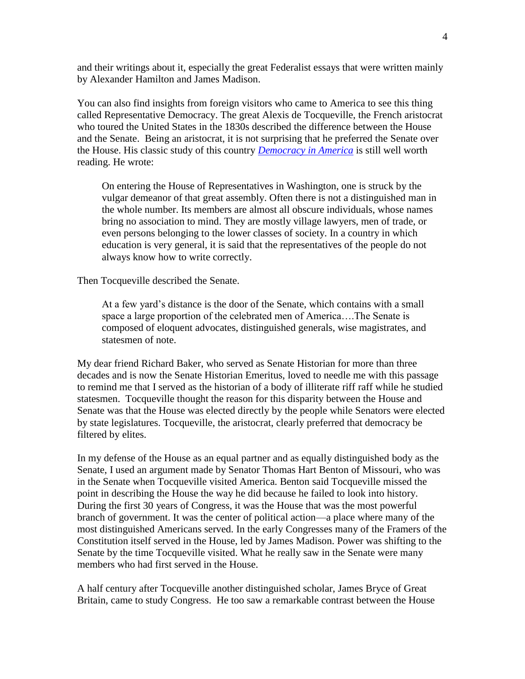and their writings about it, especially the great Federalist essays that were written mainly by Alexander Hamilton and James Madison.

You can also find insights from foreign visitors who came to America to see this thing called Representative Democracy. The great Alexis de Tocqueville, the French aristocrat who toured the United States in the 1830s described the difference between the House and the Senate. Being an aristocrat, it is not surprising that he preferred the Senate over the House. His classic study of this country *[Democracy in America](http://www.amazon.com/Democracy-America-Penguin-Classics-Tocqueville/dp/0140447601/ref=sr_1_3?s=books&ie=UTF8&qid=1339447217&sr=1-3&keywords=democracy+in+america)* is still well worth reading. He wrote:

On entering the House of Representatives in Washington, one is struck by the vulgar demeanor of that great assembly. Often there is not a distinguished man in the whole number. Its members are almost all obscure individuals, whose names bring no association to mind. They are mostly village lawyers, men of trade, or even persons belonging to the lower classes of society. In a country in which education is very general, it is said that the representatives of the people do not always know how to write correctly.

Then Tocqueville described the Senate.

At a few yard's distance is the door of the Senate, which contains with a small space a large proportion of the celebrated men of America….The Senate is composed of eloquent advocates, distinguished generals, wise magistrates, and statesmen of note.

My dear friend Richard Baker, who served as Senate Historian for more than three decades and is now the Senate Historian Emeritus, loved to needle me with this passage to remind me that I served as the historian of a body of illiterate riff raff while he studied statesmen. Tocqueville thought the reason for this disparity between the House and Senate was that the House was elected directly by the people while Senators were elected by state legislatures. Tocqueville, the aristocrat, clearly preferred that democracy be filtered by elites.

In my defense of the House as an equal partner and as equally distinguished body as the Senate, I used an argument made by Senator Thomas Hart Benton of Missouri, who was in the Senate when Tocqueville visited America. Benton said Tocqueville missed the point in describing the House the way he did because he failed to look into history. During the first 30 years of Congress, it was the House that was the most powerful branch of government. It was the center of political action—a place where many of the most distinguished Americans served. In the early Congresses many of the Framers of the Constitution itself served in the House, led by James Madison. Power was shifting to the Senate by the time Tocqueville visited. What he really saw in the Senate were many members who had first served in the House.

A half century after Tocqueville another distinguished scholar, James Bryce of Great Britain, came to study Congress. He too saw a remarkable contrast between the House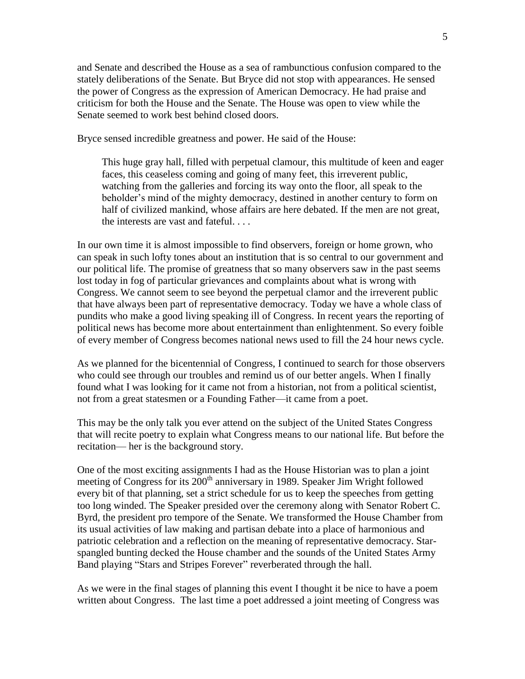and Senate and described the House as a sea of rambunctious confusion compared to the stately deliberations of the Senate. But Bryce did not stop with appearances. He sensed the power of Congress as the expression of American Democracy. He had praise and criticism for both the House and the Senate. The House was open to view while the Senate seemed to work best behind closed doors.

Bryce sensed incredible greatness and power. He said of the House:

This huge gray hall, filled with perpetual clamour, this multitude of keen and eager faces, this ceaseless coming and going of many feet, this irreverent public, watching from the galleries and forcing its way onto the floor, all speak to the beholder's mind of the mighty democracy, destined in another century to form on half of civilized mankind, whose affairs are here debated. If the men are not great, the interests are vast and fateful. . . .

In our own time it is almost impossible to find observers, foreign or home grown, who can speak in such lofty tones about an institution that is so central to our government and our political life. The promise of greatness that so many observers saw in the past seems lost today in fog of particular grievances and complaints about what is wrong with Congress. We cannot seem to see beyond the perpetual clamor and the irreverent public that have always been part of representative democracy. Today we have a whole class of pundits who make a good living speaking ill of Congress. In recent years the reporting of political news has become more about entertainment than enlightenment. So every foible of every member of Congress becomes national news used to fill the 24 hour news cycle.

As we planned for the bicentennial of Congress, I continued to search for those observers who could see through our troubles and remind us of our better angels. When I finally found what I was looking for it came not from a historian, not from a political scientist, not from a great statesmen or a Founding Father—it came from a poet.

This may be the only talk you ever attend on the subject of the United States Congress that will recite poetry to explain what Congress means to our national life. But before the recitation— her is the background story.

One of the most exciting assignments I had as the House Historian was to plan a joint meeting of Congress for its  $200<sup>th</sup>$  anniversary in 1989. Speaker Jim Wright followed every bit of that planning, set a strict schedule for us to keep the speeches from getting too long winded. The Speaker presided over the ceremony along with Senator Robert C. Byrd, the president pro tempore of the Senate. We transformed the House Chamber from its usual activities of law making and partisan debate into a place of harmonious and patriotic celebration and a reflection on the meaning of representative democracy. Starspangled bunting decked the House chamber and the sounds of the United States Army Band playing "Stars and Stripes Forever" reverberated through the hall.

As we were in the final stages of planning this event I thought it be nice to have a poem written about Congress. The last time a poet addressed a joint meeting of Congress was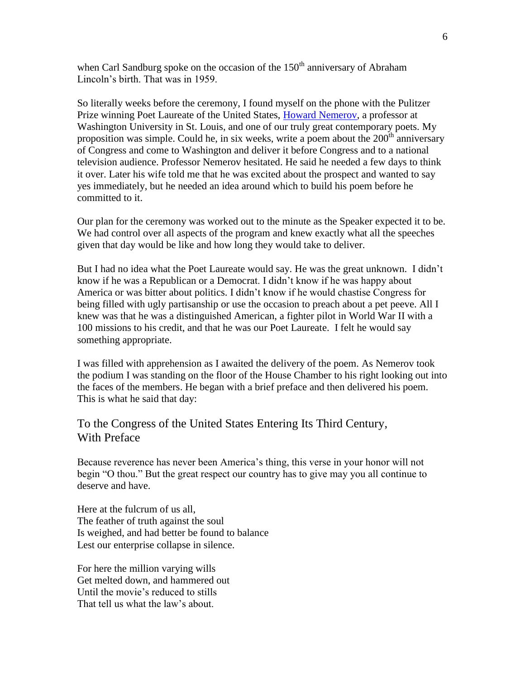when Carl Sandburg spoke on the occasion of the  $150<sup>th</sup>$  anniversary of Abraham Lincoln's birth. That was in 1959.

So literally weeks before the ceremony, I found myself on the phone with the Pulitzer Prize winning Poet Laureate of the United States, [Howard Nemerov,](http://en.wikipedia.org/wiki/Howard_Nemerov) a professor at Washington University in St. Louis, and one of our truly great contemporary poets. My proposition was simple. Could he, in six weeks, write a poem about the  $200<sup>th</sup>$  anniversary of Congress and come to Washington and deliver it before Congress and to a national television audience. Professor Nemerov hesitated. He said he needed a few days to think it over. Later his wife told me that he was excited about the prospect and wanted to say yes immediately, but he needed an idea around which to build his poem before he committed to it.

Our plan for the ceremony was worked out to the minute as the Speaker expected it to be. We had control over all aspects of the program and knew exactly what all the speeches given that day would be like and how long they would take to deliver.

But I had no idea what the Poet Laureate would say. He was the great unknown. I didn't know if he was a Republican or a Democrat. I didn't know if he was happy about America or was bitter about politics. I didn't know if he would chastise Congress for being filled with ugly partisanship or use the occasion to preach about a pet peeve. All I knew was that he was a distinguished American, a fighter pilot in World War II with a 100 missions to his credit, and that he was our Poet Laureate. I felt he would say something appropriate.

I was filled with apprehension as I awaited the delivery of the poem. As Nemerov took the podium I was standing on the floor of the House Chamber to his right looking out into the faces of the members. He began with a brief preface and then delivered his poem. This is what he said that day:

## To the Congress of the United States Entering Its Third Century, With Preface

Because reverence has never been America's thing, this verse in your honor will not begin "O thou." But the great respect our country has to give may you all continue to deserve and have.

Here at the fulcrum of us all, The feather of truth against the soul Is weighed, and had better be found to balance Lest our enterprise collapse in silence.

For here the million varying wills Get melted down, and hammered out Until the movie's reduced to stills That tell us what the law's about.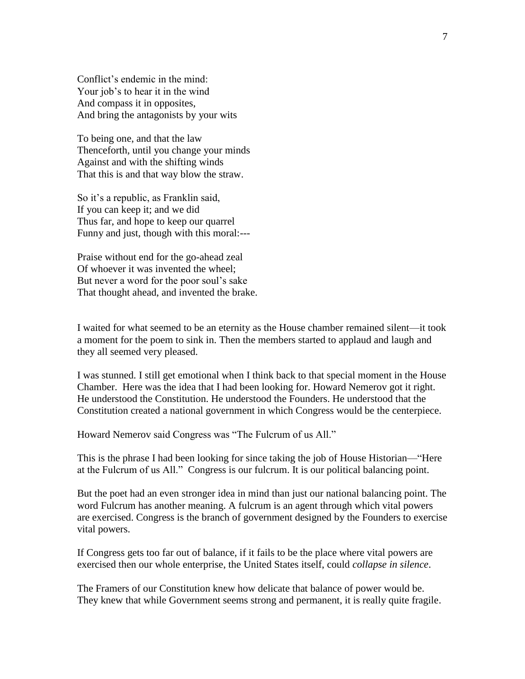Conflict's endemic in the mind: Your job's to hear it in the wind And compass it in opposites, And bring the antagonists by your wits

To being one, and that the law Thenceforth, until you change your minds Against and with the shifting winds That this is and that way blow the straw.

So it's a republic, as Franklin said, If you can keep it; and we did Thus far, and hope to keep our quarrel Funny and just, though with this moral:---

Praise without end for the go-ahead zeal Of whoever it was invented the wheel; But never a word for the poor soul's sake That thought ahead, and invented the brake.

I waited for what seemed to be an eternity as the House chamber remained silent—it took a moment for the poem to sink in. Then the members started to applaud and laugh and they all seemed very pleased.

I was stunned. I still get emotional when I think back to that special moment in the House Chamber. Here was the idea that I had been looking for. Howard Nemerov got it right. He understood the Constitution. He understood the Founders. He understood that the Constitution created a national government in which Congress would be the centerpiece.

Howard Nemerov said Congress was "The Fulcrum of us All."

This is the phrase I had been looking for since taking the job of House Historian—"Here at the Fulcrum of us All." Congress is our fulcrum. It is our political balancing point.

But the poet had an even stronger idea in mind than just our national balancing point. The word Fulcrum has another meaning. A fulcrum is an agent through which vital powers are exercised. Congress is the branch of government designed by the Founders to exercise vital powers.

If Congress gets too far out of balance, if it fails to be the place where vital powers are exercised then our whole enterprise, the United States itself, could *collapse in silence*.

The Framers of our Constitution knew how delicate that balance of power would be. They knew that while Government seems strong and permanent, it is really quite fragile.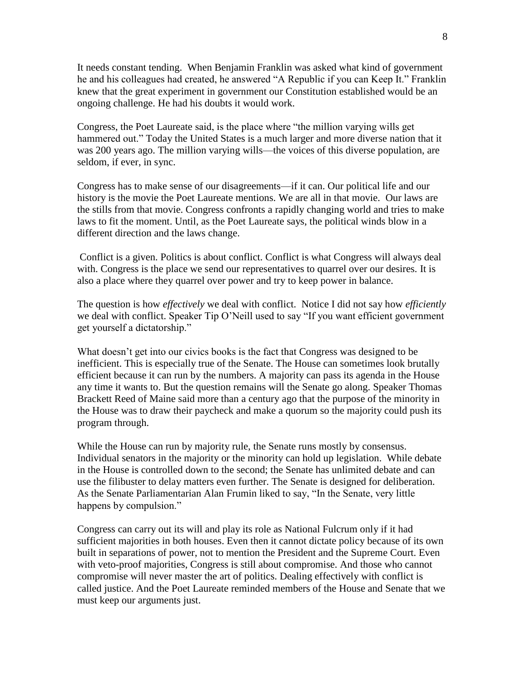It needs constant tending. When Benjamin Franklin was asked what kind of government he and his colleagues had created, he answered "A Republic if you can Keep It." Franklin knew that the great experiment in government our Constitution established would be an ongoing challenge. He had his doubts it would work.

Congress, the Poet Laureate said, is the place where "the million varying wills get hammered out." Today the United States is a much larger and more diverse nation that it was 200 years ago. The million varying wills—the voices of this diverse population, are seldom, if ever, in sync.

Congress has to make sense of our disagreements—if it can. Our political life and our history is the movie the Poet Laureate mentions. We are all in that movie. Our laws are the stills from that movie. Congress confronts a rapidly changing world and tries to make laws to fit the moment. Until, as the Poet Laureate says, the political winds blow in a different direction and the laws change.

Conflict is a given. Politics is about conflict. Conflict is what Congress will always deal with. Congress is the place we send our representatives to quarrel over our desires. It is also a place where they quarrel over power and try to keep power in balance.

The question is how *effectively* we deal with conflict. Notice I did not say how *efficiently* we deal with conflict. Speaker Tip O'Neill used to say "If you want efficient government get yourself a dictatorship."

What doesn't get into our civics books is the fact that Congress was designed to be inefficient. This is especially true of the Senate. The House can sometimes look brutally efficient because it can run by the numbers. A majority can pass its agenda in the House any time it wants to. But the question remains will the Senate go along. Speaker Thomas Brackett Reed of Maine said more than a century ago that the purpose of the minority in the House was to draw their paycheck and make a quorum so the majority could push its program through.

While the House can run by majority rule, the Senate runs mostly by consensus. Individual senators in the majority or the minority can hold up legislation. While debate in the House is controlled down to the second; the Senate has unlimited debate and can use the filibuster to delay matters even further. The Senate is designed for deliberation. As the Senate Parliamentarian Alan Frumin liked to say, "In the Senate, very little happens by compulsion."

Congress can carry out its will and play its role as National Fulcrum only if it had sufficient majorities in both houses. Even then it cannot dictate policy because of its own built in separations of power, not to mention the President and the Supreme Court. Even with veto-proof majorities, Congress is still about compromise. And those who cannot compromise will never master the art of politics. Dealing effectively with conflict is called justice. And the Poet Laureate reminded members of the House and Senate that we must keep our arguments just.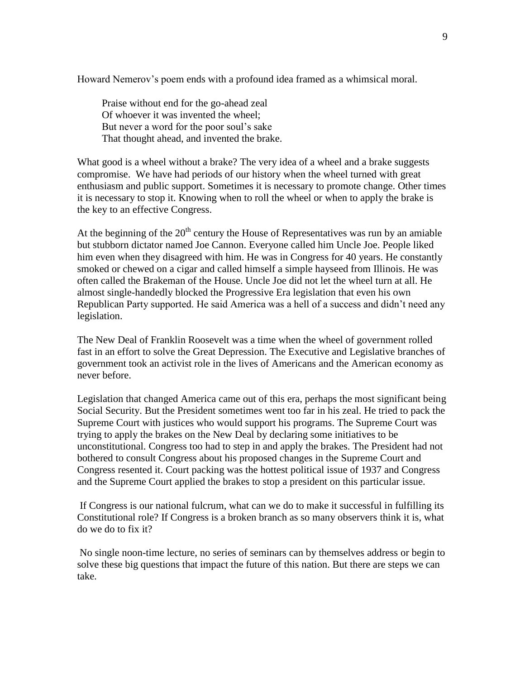Howard Nemerov's poem ends with a profound idea framed as a whimsical moral.

Praise without end for the go-ahead zeal Of whoever it was invented the wheel; But never a word for the poor soul's sake That thought ahead, and invented the brake.

What good is a wheel without a brake? The very idea of a wheel and a brake suggests compromise. We have had periods of our history when the wheel turned with great enthusiasm and public support. Sometimes it is necessary to promote change. Other times it is necessary to stop it. Knowing when to roll the wheel or when to apply the brake is the key to an effective Congress.

At the beginning of the  $20<sup>th</sup>$  century the House of Representatives was run by an amiable but stubborn dictator named Joe Cannon. Everyone called him Uncle Joe. People liked him even when they disagreed with him. He was in Congress for 40 years. He constantly smoked or chewed on a cigar and called himself a simple hayseed from Illinois. He was often called the Brakeman of the House. Uncle Joe did not let the wheel turn at all. He almost single-handedly blocked the Progressive Era legislation that even his own Republican Party supported. He said America was a hell of a success and didn't need any legislation.

The New Deal of Franklin Roosevelt was a time when the wheel of government rolled fast in an effort to solve the Great Depression. The Executive and Legislative branches of government took an activist role in the lives of Americans and the American economy as never before.

Legislation that changed America came out of this era, perhaps the most significant being Social Security. But the President sometimes went too far in his zeal. He tried to pack the Supreme Court with justices who would support his programs. The Supreme Court was trying to apply the brakes on the New Deal by declaring some initiatives to be unconstitutional. Congress too had to step in and apply the brakes. The President had not bothered to consult Congress about his proposed changes in the Supreme Court and Congress resented it. Court packing was the hottest political issue of 1937 and Congress and the Supreme Court applied the brakes to stop a president on this particular issue.

If Congress is our national fulcrum, what can we do to make it successful in fulfilling its Constitutional role? If Congress is a broken branch as so many observers think it is, what do we do to fix it?

No single noon-time lecture, no series of seminars can by themselves address or begin to solve these big questions that impact the future of this nation. But there are steps we can take.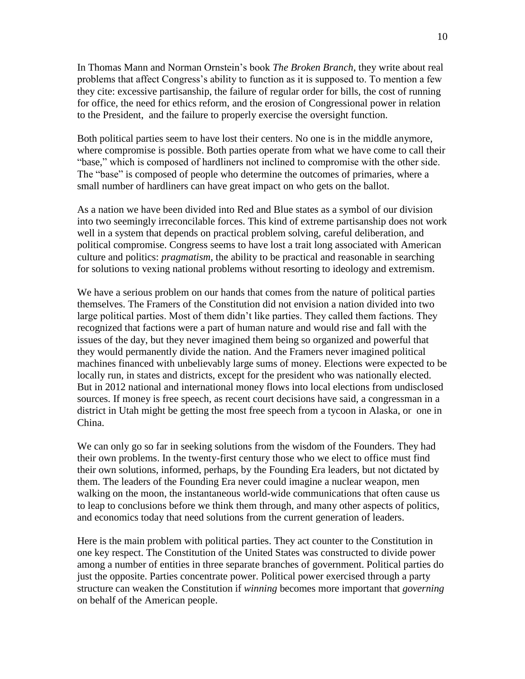In Thomas Mann and Norman Ornstein's book *The Broken Branch*, they write about real problems that affect Congress's ability to function as it is supposed to. To mention a few they cite: excessive partisanship, the failure of regular order for bills, the cost of running for office, the need for ethics reform, and the erosion of Congressional power in relation to the President, and the failure to properly exercise the oversight function.

Both political parties seem to have lost their centers. No one is in the middle anymore, where compromise is possible. Both parties operate from what we have come to call their "base," which is composed of hardliners not inclined to compromise with the other side. The "base" is composed of people who determine the outcomes of primaries, where a small number of hardliners can have great impact on who gets on the ballot.

As a nation we have been divided into Red and Blue states as a symbol of our division into two seemingly irreconcilable forces. This kind of extreme partisanship does not work well in a system that depends on practical problem solving, careful deliberation, and political compromise. Congress seems to have lost a trait long associated with American culture and politics: *pragmatism*, the ability to be practical and reasonable in searching for solutions to vexing national problems without resorting to ideology and extremism.

We have a serious problem on our hands that comes from the nature of political parties themselves. The Framers of the Constitution did not envision a nation divided into two large political parties. Most of them didn't like parties. They called them factions. They recognized that factions were a part of human nature and would rise and fall with the issues of the day, but they never imagined them being so organized and powerful that they would permanently divide the nation. And the Framers never imagined political machines financed with unbelievably large sums of money. Elections were expected to be locally run, in states and districts, except for the president who was nationally elected. But in 2012 national and international money flows into local elections from undisclosed sources. If money is free speech, as recent court decisions have said, a congressman in a district in Utah might be getting the most free speech from a tycoon in Alaska, or one in China.

We can only go so far in seeking solutions from the wisdom of the Founders. They had their own problems. In the twenty-first century those who we elect to office must find their own solutions, informed, perhaps, by the Founding Era leaders, but not dictated by them. The leaders of the Founding Era never could imagine a nuclear weapon, men walking on the moon, the instantaneous world-wide communications that often cause us to leap to conclusions before we think them through, and many other aspects of politics, and economics today that need solutions from the current generation of leaders.

Here is the main problem with political parties. They act counter to the Constitution in one key respect. The Constitution of the United States was constructed to divide power among a number of entities in three separate branches of government. Political parties do just the opposite. Parties concentrate power. Political power exercised through a party structure can weaken the Constitution if *winning* becomes more important that *governing*  on behalf of the American people.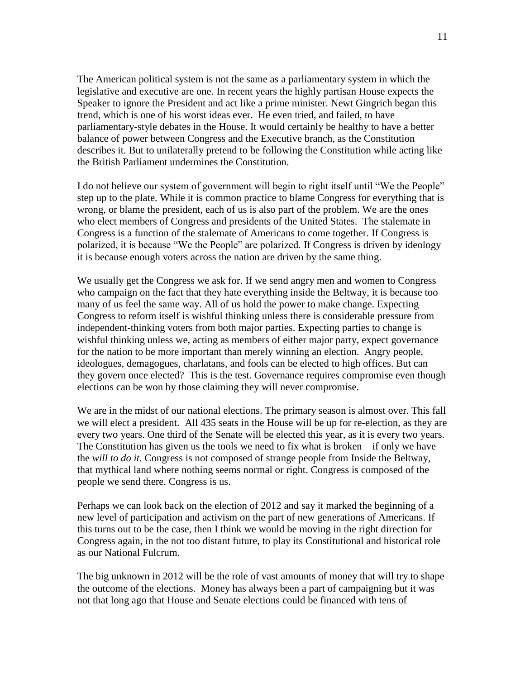The American political system is not the same as a parliamentary system in which the legislative and executive are one. In recent years the highly partisan House expects the Speaker to ignore the President and act like a prime minister. Newt Gingrich began this trend, which is one of his worst ideas ever. He even tried, and failed, to have parliamentary-style debates in the House. It would certainly be healthy to have a better balance of power between Congress and the Executive branch, as the Constitution describes it. But to unilaterally pretend to be following the Constitution while acting like the British Parliament undermines the Constitution.

I do not believe our system of government will begin to right itself until "We the People" step up to the plate. While it is common practice to blame Congress for everything that is wrong, or blame the president, each of us is also part of the problem. We are the ones who elect members of Congress and presidents of the United States. The stalemate in Congress is a function of the stalemate of Americans to come together. If Congress is polarized, it is because "We the People" are polarized. If Congress is driven by ideology it is because enough voters across the nation are driven by the same thing.

We usually get the Congress we ask for. If we send angry men and women to Congress who campaign on the fact that they hate everything inside the Beltway, it is because too many of us feel the same way. All of us hold the power to make change. Expecting Congress to reform itself is wishful thinking unless there is considerable pressure from independent-thinking voters from both major parties. Expecting parties to change is wishful thinking unless we, acting as members of either major party, expect governance for the nation to be more important than merely winning an election. Angry people, ideologues, demagogues, charlatans, and fools can be elected to high offices. But can they govern once elected? This is the test. Governance requires compromise even though elections can be won by those claiming they will never compromise.

We are in the midst of our national elections. The primary season is almost over. This fall we will elect a president. All 435 seats in the House will be up for re-election, as they are every two years. One third of the Senate will be elected this year, as it is every two years. The Constitution has given us the tools we need to fix what is broken—if only we have the *will to do it.* Congress is not composed of strange people from Inside the Beltway, that mythical land where nothing seems normal or right. Congress is composed of the people we send there. Congress is us.

Perhaps we can look back on the election of 2012 and say it marked the beginning of a new level of participation and activism on the part of new generations of Americans. If this turns out to be the case, then I think we would be moving in the right direction for Congress again, in the not too distant future, to play its Constitutional and historical role as our National Fulcrum.

The big unknown in 2012 will be the role of vast amounts of money that will try to shape the outcome of the elections. Money has always been a part of campaigning but it was not that long ago that House and Senate elections could be financed with tens of